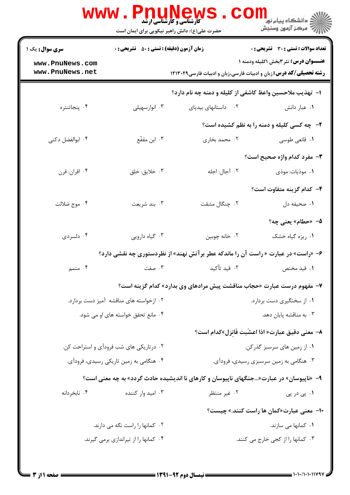|                                                                                         | <b>WWW</b> .<br><b>PRUNEWS</b><br><b>گارشناسی و کارشناسی ارشد</b><br>حضرت علی(ع): دانش راهبر نیکویی برای ایمان است |                                                                            | ڪ دانشڪاه پيا <sub>م</sub> نور<br><mark>√</mark> مرڪز آزمون وسنڊش |  |  |
|-----------------------------------------------------------------------------------------|--------------------------------------------------------------------------------------------------------------------|----------------------------------------------------------------------------|-------------------------------------------------------------------|--|--|
| <b>سری سوال :</b> یک ۱                                                                  | زمان آزمون (دقیقه) : تستی : ۵۰٪ تشریحی : ۰                                                                         |                                                                            | تعداد سوالات : تستى : 30 قشريحى : 0                               |  |  |
| www.PnuNews.com<br>www.PnuNews.net                                                      |                                                                                                                    | <b>رشته تحصیلی/کد درس:</b> زبان و ادبیات فارسی،زبان و ادبیات فارسی ۱۲۱۳۰۲۹ | <b>عنـــوان درس:</b> نثر 3بخش 1کلیله ودمنه 1                      |  |  |
|                                                                                         |                                                                                                                    | ا– تهذیب ملاحسین واعظ کاشفی از کلیله و دمنه چه نام دارد؟                   |                                                                   |  |  |
| ۰۴ پنجاتنتره                                                                            | ۰۳ انوارسهيلي                                                                                                      | ۰۲ داستانهای بیدپای                                                        | ٠١ عيار دانش                                                      |  |  |
|                                                                                         |                                                                                                                    |                                                                            | <b>۲</b> - چه کسی کلیله و دمنه را به نظم کشیده است؟               |  |  |
| ۰۴ ابوالفضل دکنی                                                                        | ۰۳ ابن مقفّع                                                                                                       | ۰۲ محمد بخاری                                                              | ۰۱ قانعی طوسی                                                     |  |  |
|                                                                                         |                                                                                                                    |                                                                            | <b>۳</b> - مفرد کدام واژه صحیح است؟                               |  |  |
| ۰۴ اقران: قرن                                                                           | ۰۳ خلايق: خلق                                                                                                      | ٢. آجال: اجله                                                              | ۰۱ موذيات: موذي                                                   |  |  |
|                                                                                         |                                                                                                                    |                                                                            | ۴–  کدام گزینه متفاوت است؟                                        |  |  |
| ۰۴ موج ضلالت                                                                            | ۰۳ بند شریعت                                                                                                       | ۰۲ چنگال مشقت                                                              | ۰۱ صحيفه دل                                                       |  |  |
|                                                                                         |                                                                                                                    |                                                                            | <mark>۵</mark> – «حطام» یعنی چه؟                                  |  |  |
| ۰۴ دلسردی                                                                               | ۰۳ گیاه دارویی                                                                                                     | ۰۲ خانه چوبين                                                              | ۰۱ ریزه گیاه خشک                                                  |  |  |
| ۶- «راست» در عبارت « راست آن را ماندکه عطر برآتش نهند» از نظردستوری چه نقشی دارد؟       |                                                                                                                    |                                                                            |                                                                   |  |  |
| ۰۴ متمم                                                                                 | ۰۳ صفت                                                                                                             | ۰۲ قید تأکید                                                               | ١. قيد مختص                                                       |  |  |
|                                                                                         |                                                                                                                    | ۷- مفهوم درست عبارت «حجاب مناقشت پیش مرادهای وی بدارد» کدام گزینه است؟     |                                                                   |  |  |
| ۰۲ ازخواسته های مناقشه آمیز دست بردارد.                                                 |                                                                                                                    | ۰۱ از سختگیری دست بردارد.                                                  |                                                                   |  |  |
| ۰۴ مانع تحقق خواسته های او می شود.                                                      |                                                                                                                    | ۰۳ به مناقشه پایان دهد.                                                    |                                                                   |  |  |
|                                                                                         |                                                                                                                    |                                                                            | ٨– معنى دقيق عبارت« اذا اعشَبت فَانزل»كدام است؟                   |  |  |
| ۰۲ در تاریکی های شب فرودآی و استراحت کن.                                                |                                                                                                                    | ۰۱ از زمین های سرسبز گذرکن.                                                |                                                                   |  |  |
|                                                                                         | ۰۴ هنگامی به زمین تاریکی رسیدی، فرودآی.                                                                            |                                                                            | ۰۳ هنگامی به زمین سرسبزی رسیدی، فرودآی.                           |  |  |
| ۹- «ناپیوسان» در عبارت«…جنگهای ناپیوسان و کارهای نا اندیشیده حادث گردد» به چه معنی است؟ |                                                                                                                    |                                                                            |                                                                   |  |  |
| ۰۴ نابخردانه                                                                            | ۰۳ امید وار کننده                                                                                                  | ۰۲ غیر منتظر                                                               | ۰۱ پی در پی                                                       |  |  |
|                                                                                         |                                                                                                                    |                                                                            | ∙ا–  معنی عبارت«کمان ها راست کنند.» چیست؟                         |  |  |
| ۰۲ کمانها را راست نگه می دارند.                                                         |                                                                                                                    | 1. كمانها مى سازند.                                                        |                                                                   |  |  |
|                                                                                         | ۰۴ کمانها را از تیراندازی برمی گیرند.                                                                              |                                                                            | ۰۳ کمانها را از کجی خارج می کنند.                                 |  |  |
|                                                                                         |                                                                                                                    |                                                                            |                                                                   |  |  |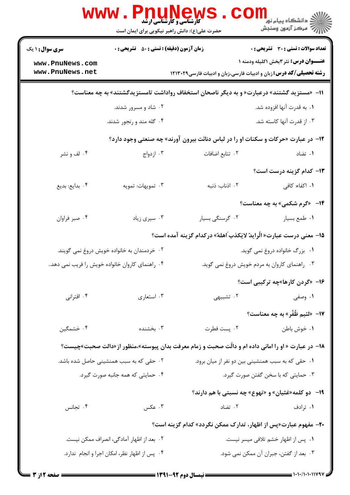| <b>سری سوال : ۱ یک</b>                         | <b>زمان آزمون (دقیقه) : تستی : 50 ٪ تشریحی : 0</b> |                 | <b>تعداد سوالات : تستی : 30 ٪ تشریحی : 0</b>                                                       |
|------------------------------------------------|----------------------------------------------------|-----------------|----------------------------------------------------------------------------------------------------|
| www.PnuNews.com                                |                                                    |                 | <b>عنـــوان درس:</b> نثر 3بخش 1کلیله ودمنه 1                                                       |
| www.PnuNews.net                                |                                                    |                 | <b>رشته تحصیلی/کد درس:</b> زبان و ادبیات فارسی،زبان و ادبیات فارسی١٢١٣٠٢٩                          |
|                                                |                                                    |                 | 1۱– «مستزید گشتند» درعبارت« و به دیگر ناصحان استخفاف رواداشت تامستزیدگشتند» به چه معناست؟          |
|                                                | ۰۲ شاد و مسرور شدند.                               |                 | ۰۱ به قدرت آنها افزوده شد.                                                                         |
|                                                | ۰۴ گله مند و رنجور شدند.                           |                 | ۰۳ از قدرت آنها کاسته شد.                                                                          |
|                                                |                                                    |                 | <b>۱۲</b> - در عبارت «حرکات و سکنات او را در لباس دنائت بیرون آورند» چه صنعتی وجود دارد؟           |
| ۰۴ لف و نشر                                    | ۰۳ ازدواج                                          | ٠٢ تتابع اضافات | ۰۱ تضاد                                                                                            |
|                                                |                                                    |                 | <b>۱۳</b> کدام گزینه درست است؟                                                                     |
| ۰۴ بدایع: بدیع                                 | ۰۳ تمويهات: تمويه                                  | ۰۲ اذناب: ذنبه  | ۰۱ اکفا <b>ء</b> : کافی                                                                            |
|                                                |                                                    |                 | ۱۴- «گرم شکمی» به چه معناست؟                                                                       |
| ۰۴ صبر فراوان                                  | ۰۳ سیری زیاد                                       | ۰۲ گرسنگی بسیار | ٠١ طمع بسيار                                                                                       |
|                                                |                                                    |                 | 1۵- معنی درست عبارت« الّرایدُ لایَکذب اَهلهُ» درکدام گزینه آمده است؟                               |
|                                                | ۰۲ خردمندان به خانواده خویش دروغ نمی گویند.        |                 | ۰۱ بزرگ خانواده دروغ نمی گوید.                                                                     |
| ۰۴ راهنمای کاروان خانواده خویش را فریب نمی دهد |                                                    |                 | ۰۳ راهنمای کاروان به مردم خویش دروغ نمی گوید.                                                      |
|                                                |                                                    |                 | ۱۶- «گردن کارها»چه ترکیبی است؟                                                                     |
| ۰۴ اقترانی                                     | ۰۳ استعاري                                         | ۲. تشبیهی       | ۰۱ وصفی                                                                                            |
|                                                |                                                    |                 | 17- «لئيم ظُفُر» به چه معناست؟                                                                     |
| ۰۴ خشمگین                                      | ۰۳ بخشنده                                          | ٠٢ پست فطرت     | ٠١ خوش باطن                                                                                        |
|                                                |                                                    |                 | ۱۸− در عبارت « او را امانی داده ام و دالّت صحبت و زمام معرفت بدان پیوسته»،منظور از«دالت صحبت»چیست؟ |
|                                                | ۰۲ حقی که به سبب همنشینی حاصل شده باشد.            |                 | ۰۱ حقی که به سبب همنشینی بین دو نفر از میان برود.                                                  |
| ۰۴ حمایتی که همه جانبه صورت گیرد.              |                                                    |                 | ۰۳ حمایتی که با سخن گفتن صورت گیرد.                                                                |
|                                                |                                                    |                 | ۱۹- دو کلمه«غثیان» و «تهوع» چه نسبتی با هم دارند؟                                                  |
| ۰۴ تجانس                                       | ۰۳ عکس                                             | ۰۲ تضاد         | ۰۱ ترادف                                                                                           |
|                                                |                                                    |                 | <b>۲۰</b> - مفهوم عبارت«پس از اظهار، تدارک ممکن نگردد» کدام گزینه است؟                             |
|                                                | ۰۲ بعد از اظهار آمادگی، انصراف ممکن نیست.          |                 | ۰۱ پس از اظهار خشم تلافی میسر نیست.                                                                |
| ۰۴ پس از اظهار نظر، امکان اجرا و انجام ندارد.  |                                                    |                 | ۰۳ بعد از گفتن، جبران آن ممکن نمی شود.                                                             |

= 1+1+/1+1+117